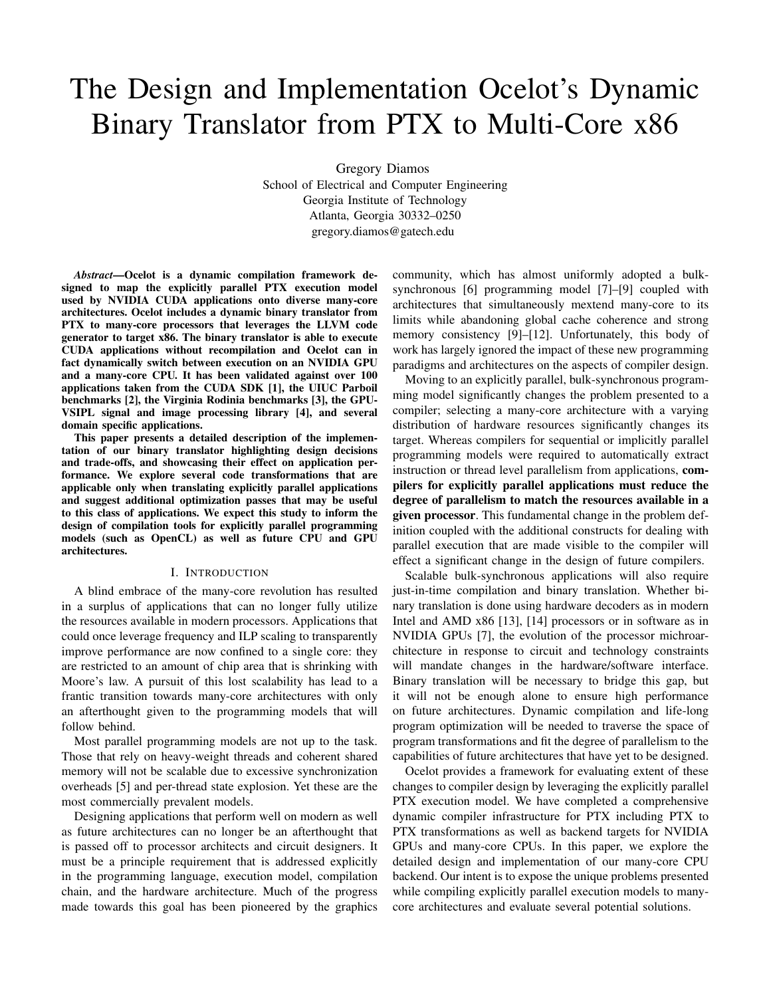# The Design and Implementation Ocelot's Dynamic Binary Translator from PTX to Multi-Core x86

Gregory Diamos

School of Electrical and Computer Engineering Georgia Institute of Technology Atlanta, Georgia 30332–0250 gregory.diamos@gatech.edu

*Abstract*—Ocelot is a dynamic compilation framework designed to map the explicitly parallel PTX execution model used by NVIDIA CUDA applications onto diverse many-core architectures. Ocelot includes a dynamic binary translator from PTX to many-core processors that leverages the LLVM code generator to target x86. The binary translator is able to execute CUDA applications without recompilation and Ocelot can in fact dynamically switch between execution on an NVIDIA GPU and a many-core CPU. It has been validated against over 100 applications taken from the CUDA SDK [1], the UIUC Parboil benchmarks [2], the Virginia Rodinia benchmarks [3], the GPU-VSIPL signal and image processing library [4], and several domain specific applications.

This paper presents a detailed description of the implementation of our binary translator highlighting design decisions and trade-offs, and showcasing their effect on application performance. We explore several code transformations that are applicable only when translating explicitly parallel applications and suggest additional optimization passes that may be useful to this class of applications. We expect this study to inform the design of compilation tools for explicitly parallel programming models (such as OpenCL) as well as future CPU and GPU architectures.

## I. INTRODUCTION

A blind embrace of the many-core revolution has resulted in a surplus of applications that can no longer fully utilize the resources available in modern processors. Applications that could once leverage frequency and ILP scaling to transparently improve performance are now confined to a single core: they are restricted to an amount of chip area that is shrinking with Moore's law. A pursuit of this lost scalability has lead to a frantic transition towards many-core architectures with only an afterthought given to the programming models that will follow behind.

Most parallel programming models are not up to the task. Those that rely on heavy-weight threads and coherent shared memory will not be scalable due to excessive synchronization overheads [5] and per-thread state explosion. Yet these are the most commercially prevalent models.

Designing applications that perform well on modern as well as future architectures can no longer be an afterthought that is passed off to processor architects and circuit designers. It must be a principle requirement that is addressed explicitly in the programming language, execution model, compilation chain, and the hardware architecture. Much of the progress made towards this goal has been pioneered by the graphics community, which has almost uniformly adopted a bulksynchronous [6] programming model [7]–[9] coupled with architectures that simultaneously mextend many-core to its limits while abandoning global cache coherence and strong memory consistency [9]–[12]. Unfortunately, this body of work has largely ignored the impact of these new programming paradigms and architectures on the aspects of compiler design.

Moving to an explicitly parallel, bulk-synchronous programming model significantly changes the problem presented to a compiler; selecting a many-core architecture with a varying distribution of hardware resources significantly changes its target. Whereas compilers for sequential or implicitly parallel programming models were required to automatically extract instruction or thread level parallelism from applications, compilers for explicitly parallel applications must reduce the degree of parallelism to match the resources available in a given processor. This fundamental change in the problem definition coupled with the additional constructs for dealing with parallel execution that are made visible to the compiler will effect a significant change in the design of future compilers.

Scalable bulk-synchronous applications will also require just-in-time compilation and binary translation. Whether binary translation is done using hardware decoders as in modern Intel and AMD x86 [13], [14] processors or in software as in NVIDIA GPUs [7], the evolution of the processor michroarchitecture in response to circuit and technology constraints will mandate changes in the hardware/software interface. Binary translation will be necessary to bridge this gap, but it will not be enough alone to ensure high performance on future architectures. Dynamic compilation and life-long program optimization will be needed to traverse the space of program transformations and fit the degree of parallelism to the capabilities of future architectures that have yet to be designed.

Ocelot provides a framework for evaluating extent of these changes to compiler design by leveraging the explicitly parallel PTX execution model. We have completed a comprehensive dynamic compiler infrastructure for PTX including PTX to PTX transformations as well as backend targets for NVIDIA GPUs and many-core CPUs. In this paper, we explore the detailed design and implementation of our many-core CPU backend. Our intent is to expose the unique problems presented while compiling explicitly parallel execution models to manycore architectures and evaluate several potential solutions.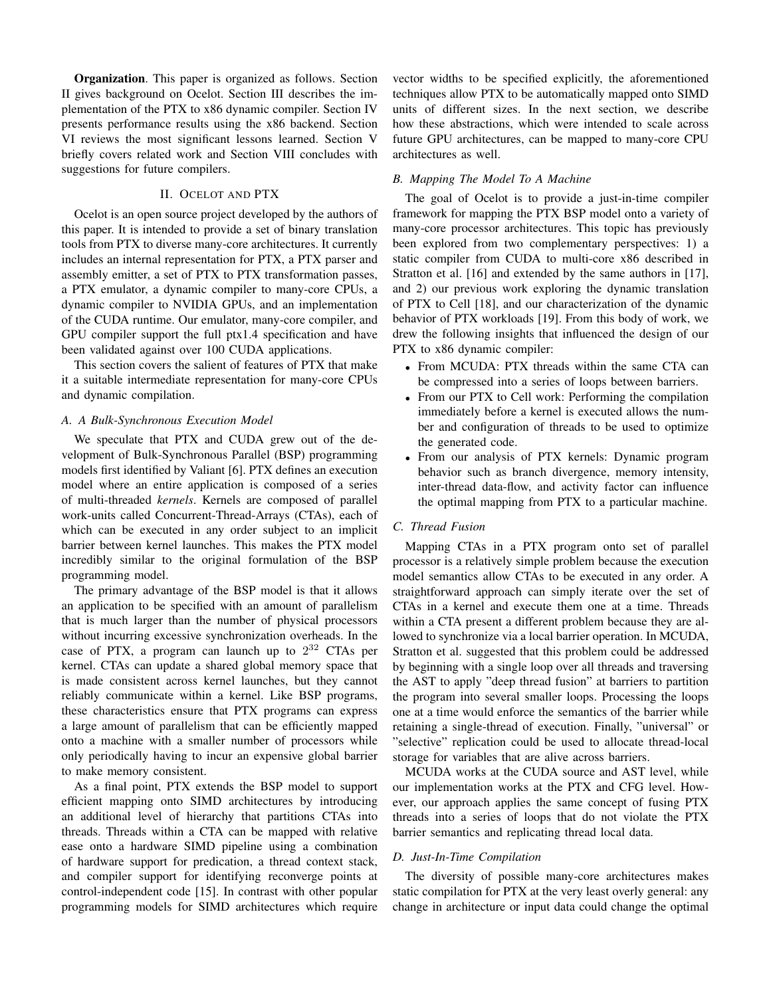Organization. This paper is organized as follows. Section II gives background on Ocelot. Section III describes the implementation of the PTX to x86 dynamic compiler. Section IV presents performance results using the x86 backend. Section VI reviews the most significant lessons learned. Section V briefly covers related work and Section VIII concludes with suggestions for future compilers.

# II. OCELOT AND PTX

Ocelot is an open source project developed by the authors of this paper. It is intended to provide a set of binary translation tools from PTX to diverse many-core architectures. It currently includes an internal representation for PTX, a PTX parser and assembly emitter, a set of PTX to PTX transformation passes, a PTX emulator, a dynamic compiler to many-core CPUs, a dynamic compiler to NVIDIA GPUs, and an implementation of the CUDA runtime. Our emulator, many-core compiler, and GPU compiler support the full ptx1.4 specification and have been validated against over 100 CUDA applications.

This section covers the salient of features of PTX that make it a suitable intermediate representation for many-core CPUs and dynamic compilation.

## *A. A Bulk-Synchronous Execution Model*

We speculate that PTX and CUDA grew out of the development of Bulk-Synchronous Parallel (BSP) programming models first identified by Valiant [6]. PTX defines an execution model where an entire application is composed of a series of multi-threaded *kernels*. Kernels are composed of parallel work-units called Concurrent-Thread-Arrays (CTAs), each of which can be executed in any order subject to an implicit barrier between kernel launches. This makes the PTX model incredibly similar to the original formulation of the BSP programming model.

The primary advantage of the BSP model is that it allows an application to be specified with an amount of parallelism that is much larger than the number of physical processors without incurring excessive synchronization overheads. In the case of PTX, a program can launch up to  $2^{32}$  CTAs per kernel. CTAs can update a shared global memory space that is made consistent across kernel launches, but they cannot reliably communicate within a kernel. Like BSP programs, these characteristics ensure that PTX programs can express a large amount of parallelism that can be efficiently mapped onto a machine with a smaller number of processors while only periodically having to incur an expensive global barrier to make memory consistent.

As a final point, PTX extends the BSP model to support efficient mapping onto SIMD architectures by introducing an additional level of hierarchy that partitions CTAs into threads. Threads within a CTA can be mapped with relative ease onto a hardware SIMD pipeline using a combination of hardware support for predication, a thread context stack, and compiler support for identifying reconverge points at control-independent code [15]. In contrast with other popular programming models for SIMD architectures which require vector widths to be specified explicitly, the aforementioned techniques allow PTX to be automatically mapped onto SIMD units of different sizes. In the next section, we describe how these abstractions, which were intended to scale across future GPU architectures, can be mapped to many-core CPU architectures as well.

# *B. Mapping The Model To A Machine*

The goal of Ocelot is to provide a just-in-time compiler framework for mapping the PTX BSP model onto a variety of many-core processor architectures. This topic has previously been explored from two complementary perspectives: 1) a static compiler from CUDA to multi-core x86 described in Stratton et al. [16] and extended by the same authors in [17], and 2) our previous work exploring the dynamic translation of PTX to Cell [18], and our characterization of the dynamic behavior of PTX workloads [19]. From this body of work, we drew the following insights that influenced the design of our PTX to x86 dynamic compiler:

- From MCUDA: PTX threads within the same CTA can be compressed into a series of loops between barriers.
- From our PTX to Cell work: Performing the compilation immediately before a kernel is executed allows the number and configuration of threads to be used to optimize the generated code.
- From our analysis of PTX kernels: Dynamic program behavior such as branch divergence, memory intensity, inter-thread data-flow, and activity factor can influence the optimal mapping from PTX to a particular machine.

# *C. Thread Fusion*

Mapping CTAs in a PTX program onto set of parallel processor is a relatively simple problem because the execution model semantics allow CTAs to be executed in any order. A straightforward approach can simply iterate over the set of CTAs in a kernel and execute them one at a time. Threads within a CTA present a different problem because they are allowed to synchronize via a local barrier operation. In MCUDA, Stratton et al. suggested that this problem could be addressed by beginning with a single loop over all threads and traversing the AST to apply "deep thread fusion" at barriers to partition the program into several smaller loops. Processing the loops one at a time would enforce the semantics of the barrier while retaining a single-thread of execution. Finally, "universal" or "selective" replication could be used to allocate thread-local storage for variables that are alive across barriers.

MCUDA works at the CUDA source and AST level, while our implementation works at the PTX and CFG level. However, our approach applies the same concept of fusing PTX threads into a series of loops that do not violate the PTX barrier semantics and replicating thread local data.

# *D. Just-In-Time Compilation*

The diversity of possible many-core architectures makes static compilation for PTX at the very least overly general: any change in architecture or input data could change the optimal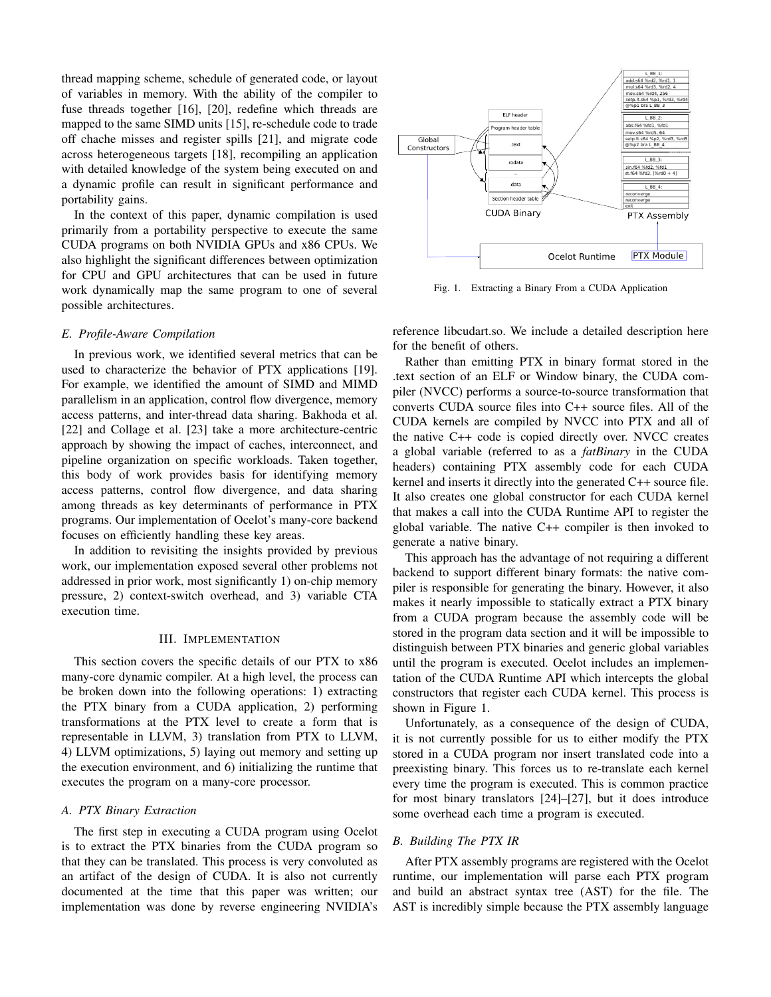thread mapping scheme, schedule of generated code, or layout of variables in memory. With the ability of the compiler to fuse threads together [16], [20], redefine which threads are mapped to the same SIMD units [15], re-schedule code to trade off chache misses and register spills [21], and migrate code across heterogeneous targets [18], recompiling an application with detailed knowledge of the system being executed on and a dynamic profile can result in significant performance and portability gains.

In the context of this paper, dynamic compilation is used primarily from a portability perspective to execute the same CUDA programs on both NVIDIA GPUs and x86 CPUs. We also highlight the significant differences between optimization for CPU and GPU architectures that can be used in future work dynamically map the same program to one of several possible architectures.

### *E. Profile-Aware Compilation*

In previous work, we identified several metrics that can be used to characterize the behavior of PTX applications [19]. For example, we identified the amount of SIMD and MIMD parallelism in an application, control flow divergence, memory access patterns, and inter-thread data sharing. Bakhoda et al. [22] and Collage et al. [23] take a more architecture-centric approach by showing the impact of caches, interconnect, and pipeline organization on specific workloads. Taken together, this body of work provides basis for identifying memory access patterns, control flow divergence, and data sharing among threads as key determinants of performance in PTX programs. Our implementation of Ocelot's many-core backend focuses on efficiently handling these key areas.

In addition to revisiting the insights provided by previous work, our implementation exposed several other problems not addressed in prior work, most significantly 1) on-chip memory pressure, 2) context-switch overhead, and 3) variable CTA execution time.

## III. IMPLEMENTATION

This section covers the specific details of our PTX to x86 many-core dynamic compiler. At a high level, the process can be broken down into the following operations: 1) extracting the PTX binary from a CUDA application, 2) performing transformations at the PTX level to create a form that is representable in LLVM, 3) translation from PTX to LLVM, 4) LLVM optimizations, 5) laying out memory and setting up the execution environment, and 6) initializing the runtime that executes the program on a many-core processor.

# *A. PTX Binary Extraction*

The first step in executing a CUDA program using Ocelot is to extract the PTX binaries from the CUDA program so that they can be translated. This process is very convoluted as an artifact of the design of CUDA. It is also not currently documented at the time that this paper was written; our implementation was done by reverse engineering NVIDIA's



Fig. 1. Extracting a Binary From a CUDA Application

reference libcudart.so. We include a detailed description here for the benefit of others.

Rather than emitting PTX in binary format stored in the .text section of an ELF or Window binary, the CUDA compiler (NVCC) performs a source-to-source transformation that converts CUDA source files into C++ source files. All of the CUDA kernels are compiled by NVCC into PTX and all of the native C++ code is copied directly over. NVCC creates a global variable (referred to as a *fatBinary* in the CUDA headers) containing PTX assembly code for each CUDA kernel and inserts it directly into the generated C++ source file. It also creates one global constructor for each CUDA kernel that makes a call into the CUDA Runtime API to register the global variable. The native C++ compiler is then invoked to generate a native binary.

This approach has the advantage of not requiring a different backend to support different binary formats: the native compiler is responsible for generating the binary. However, it also makes it nearly impossible to statically extract a PTX binary from a CUDA program because the assembly code will be stored in the program data section and it will be impossible to distinguish between PTX binaries and generic global variables until the program is executed. Ocelot includes an implementation of the CUDA Runtime API which intercepts the global constructors that register each CUDA kernel. This process is shown in Figure 1.

Unfortunately, as a consequence of the design of CUDA, it is not currently possible for us to either modify the PTX stored in a CUDA program nor insert translated code into a preexisting binary. This forces us to re-translate each kernel every time the program is executed. This is common practice for most binary translators [24]–[27], but it does introduce some overhead each time a program is executed.

# *B. Building The PTX IR*

After PTX assembly programs are registered with the Ocelot runtime, our implementation will parse each PTX program and build an abstract syntax tree (AST) for the file. The AST is incredibly simple because the PTX assembly language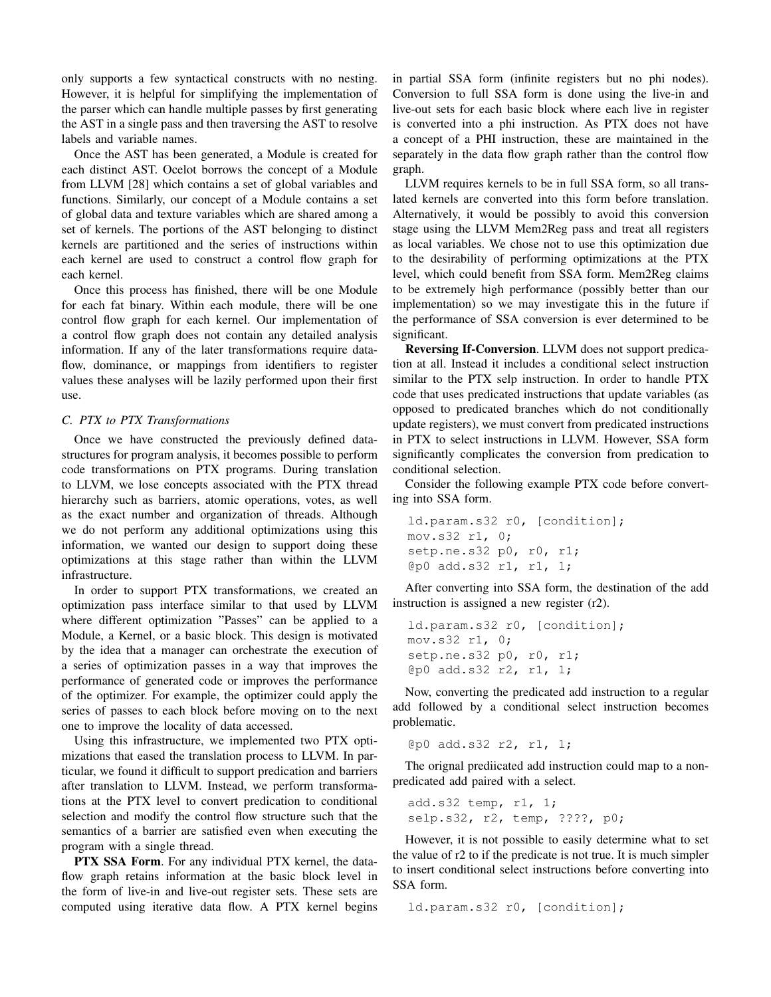only supports a few syntactical constructs with no nesting. However, it is helpful for simplifying the implementation of the parser which can handle multiple passes by first generating the AST in a single pass and then traversing the AST to resolve labels and variable names.

Once the AST has been generated, a Module is created for each distinct AST. Ocelot borrows the concept of a Module from LLVM [28] which contains a set of global variables and functions. Similarly, our concept of a Module contains a set of global data and texture variables which are shared among a set of kernels. The portions of the AST belonging to distinct kernels are partitioned and the series of instructions within each kernel are used to construct a control flow graph for each kernel.

Once this process has finished, there will be one Module for each fat binary. Within each module, there will be one control flow graph for each kernel. Our implementation of a control flow graph does not contain any detailed analysis information. If any of the later transformations require dataflow, dominance, or mappings from identifiers to register values these analyses will be lazily performed upon their first use.

## *C. PTX to PTX Transformations*

Once we have constructed the previously defined datastructures for program analysis, it becomes possible to perform code transformations on PTX programs. During translation to LLVM, we lose concepts associated with the PTX thread hierarchy such as barriers, atomic operations, votes, as well as the exact number and organization of threads. Although we do not perform any additional optimizations using this information, we wanted our design to support doing these optimizations at this stage rather than within the LLVM infrastructure.

In order to support PTX transformations, we created an optimization pass interface similar to that used by LLVM where different optimization "Passes" can be applied to a Module, a Kernel, or a basic block. This design is motivated by the idea that a manager can orchestrate the execution of a series of optimization passes in a way that improves the performance of generated code or improves the performance of the optimizer. For example, the optimizer could apply the series of passes to each block before moving on to the next one to improve the locality of data accessed.

Using this infrastructure, we implemented two PTX optimizations that eased the translation process to LLVM. In particular, we found it difficult to support predication and barriers after translation to LLVM. Instead, we perform transformations at the PTX level to convert predication to conditional selection and modify the control flow structure such that the semantics of a barrier are satisfied even when executing the program with a single thread.

PTX SSA Form. For any individual PTX kernel, the dataflow graph retains information at the basic block level in the form of live-in and live-out register sets. These sets are computed using iterative data flow. A PTX kernel begins in partial SSA form (infinite registers but no phi nodes). Conversion to full SSA form is done using the live-in and live-out sets for each basic block where each live in register is converted into a phi instruction. As PTX does not have a concept of a PHI instruction, these are maintained in the separately in the data flow graph rather than the control flow graph.

LLVM requires kernels to be in full SSA form, so all translated kernels are converted into this form before translation. Alternatively, it would be possibly to avoid this conversion stage using the LLVM Mem2Reg pass and treat all registers as local variables. We chose not to use this optimization due to the desirability of performing optimizations at the PTX level, which could benefit from SSA form. Mem2Reg claims to be extremely high performance (possibly better than our implementation) so we may investigate this in the future if the performance of SSA conversion is ever determined to be significant.

Reversing If-Conversion. LLVM does not support predication at all. Instead it includes a conditional select instruction similar to the PTX selp instruction. In order to handle PTX code that uses predicated instructions that update variables (as opposed to predicated branches which do not conditionally update registers), we must convert from predicated instructions in PTX to select instructions in LLVM. However, SSA form significantly complicates the conversion from predication to conditional selection.

Consider the following example PTX code before converting into SSA form.

```
ld.param.s32 r0, [condition];
mov.s32 r1, 0;
setp.ne.s32 p0, r0, r1;
@p0 add.s32 r1, r1, 1;
```
After converting into SSA form, the destination of the add instruction is assigned a new register (r2).

```
ld.param.s32 r0, [condition];
mov.s32 r1, 0;
setp.ne.s32 p0, r0, r1;
@p0 add.s32 r2, r1, 1;
```
Now, converting the predicated add instruction to a regular add followed by a conditional select instruction becomes problematic.

@p0 add.s32 r2, r1, 1;

The orignal prediicated add instruction could map to a nonpredicated add paired with a select.

add.s32 temp, r1, 1; selp.s32, r2, temp, ????, p0;

However, it is not possible to easily determine what to set the value of r2 to if the predicate is not true. It is much simpler to insert conditional select instructions before converting into SSA form.

ld.param.s32 r0, [condition];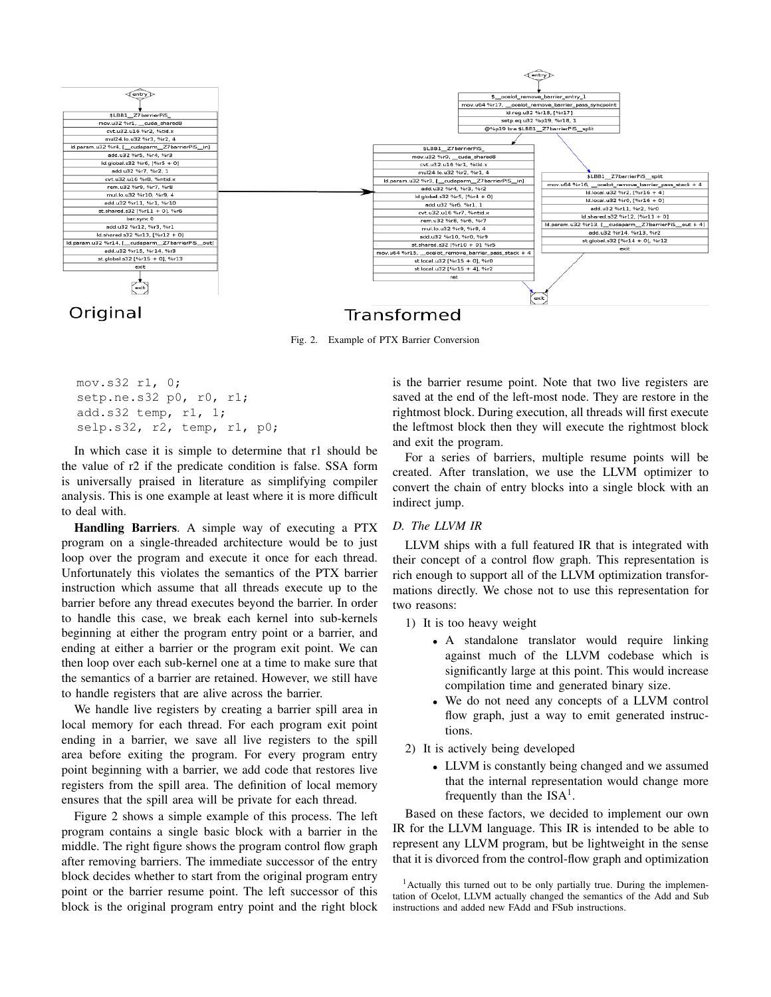

Fig. 2. Example of PTX Barrier Conversion

```
mov.s32 r1, 0;
setp.ne.s32 p0, r0, r1;
add.s32 temp, r1, 1;
selp.s32, r2, temp, r1, p0;
```
In which case it is simple to determine that r1 should be the value of r2 if the predicate condition is false. SSA form is universally praised in literature as simplifying compiler analysis. This is one example at least where it is more difficult to deal with.

Handling Barriers. A simple way of executing a PTX program on a single-threaded architecture would be to just loop over the program and execute it once for each thread. Unfortunately this violates the semantics of the PTX barrier instruction which assume that all threads execute up to the barrier before any thread executes beyond the barrier. In order to handle this case, we break each kernel into sub-kernels beginning at either the program entry point or a barrier, and ending at either a barrier or the program exit point. We can then loop over each sub-kernel one at a time to make sure that the semantics of a barrier are retained. However, we still have to handle registers that are alive across the barrier.

We handle live registers by creating a barrier spill area in local memory for each thread. For each program exit point ending in a barrier, we save all live registers to the spill area before exiting the program. For every program entry point beginning with a barrier, we add code that restores live registers from the spill area. The definition of local memory ensures that the spill area will be private for each thread.

Figure 2 shows a simple example of this process. The left program contains a single basic block with a barrier in the middle. The right figure shows the program control flow graph after removing barriers. The immediate successor of the entry block decides whether to start from the original program entry point or the barrier resume point. The left successor of this block is the original program entry point and the right block is the barrier resume point. Note that two live registers are saved at the end of the left-most node. They are restore in the rightmost block. During execution, all threads will first execute the leftmost block then they will execute the rightmost block and exit the program.

For a series of barriers, multiple resume points will be created. After translation, we use the LLVM optimizer to convert the chain of entry blocks into a single block with an indirect jump.

# *D. The LLVM IR*

LLVM ships with a full featured IR that is integrated with their concept of a control flow graph. This representation is rich enough to support all of the LLVM optimization transformations directly. We chose not to use this representation for two reasons:

1) It is too heavy weight

- A standalone translator would require linking against much of the LLVM codebase which is significantly large at this point. This would increase compilation time and generated binary size.
- We do not need any concepts of a LLVM control flow graph, just a way to emit generated instructions.
- 2) It is actively being developed
	- LLVM is constantly being changed and we assumed that the internal representation would change more frequently than the  $ISA<sup>1</sup>$ .

Based on these factors, we decided to implement our own IR for the LLVM language. This IR is intended to be able to represent any LLVM program, but be lightweight in the sense that it is divorced from the control-flow graph and optimization

<sup>&</sup>lt;sup>1</sup> Actually this turned out to be only partially true. During the implementation of Ocelot, LLVM actually changed the semantics of the Add and Sub instructions and added new FAdd and FSub instructions.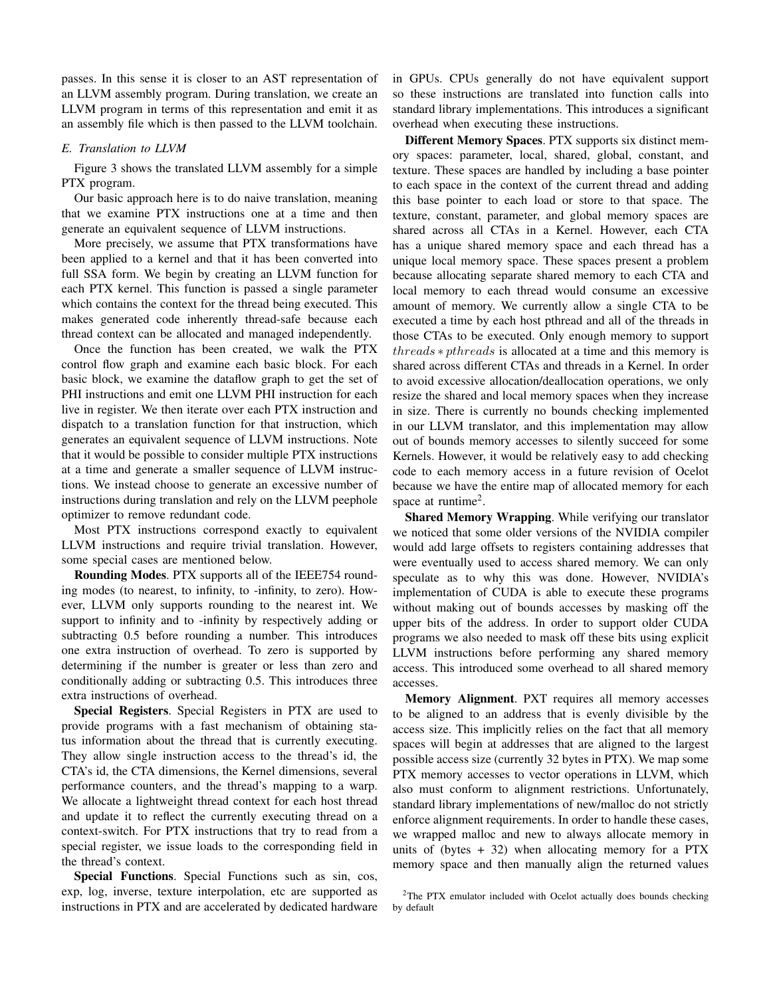passes. In this sense it is closer to an AST representation of an LLVM assembly program. During translation, we create an LLVM program in terms of this representation and emit it as an assembly file which is then passed to the LLVM toolchain.

## *E. Translation to LLVM*

Figure 3 shows the translated LLVM assembly for a simple PTX program.

Our basic approach here is to do naive translation, meaning that we examine PTX instructions one at a time and then generate an equivalent sequence of LLVM instructions.

More precisely, we assume that PTX transformations have been applied to a kernel and that it has been converted into full SSA form. We begin by creating an LLVM function for each PTX kernel. This function is passed a single parameter which contains the context for the thread being executed. This makes generated code inherently thread-safe because each thread context can be allocated and managed independently.

Once the function has been created, we walk the PTX control flow graph and examine each basic block. For each basic block, we examine the dataflow graph to get the set of PHI instructions and emit one LLVM PHI instruction for each live in register. We then iterate over each PTX instruction and dispatch to a translation function for that instruction, which generates an equivalent sequence of LLVM instructions. Note that it would be possible to consider multiple PTX instructions at a time and generate a smaller sequence of LLVM instructions. We instead choose to generate an excessive number of instructions during translation and rely on the LLVM peephole optimizer to remove redundant code.

Most PTX instructions correspond exactly to equivalent LLVM instructions and require trivial translation. However, some special cases are mentioned below.

Rounding Modes. PTX supports all of the IEEE754 rounding modes (to nearest, to infinity, to -infinity, to zero). However, LLVM only supports rounding to the nearest int. We support to infinity and to -infinity by respectively adding or subtracting 0.5 before rounding a number. This introduces one extra instruction of overhead. To zero is supported by determining if the number is greater or less than zero and conditionally adding or subtracting 0.5. This introduces three extra instructions of overhead.

Special Registers. Special Registers in PTX are used to provide programs with a fast mechanism of obtaining status information about the thread that is currently executing. They allow single instruction access to the thread's id, the CTA's id, the CTA dimensions, the Kernel dimensions, several performance counters, and the thread's mapping to a warp. We allocate a lightweight thread context for each host thread and update it to reflect the currently executing thread on a context-switch. For PTX instructions that try to read from a special register, we issue loads to the corresponding field in the thread's context.

Special Functions. Special Functions such as sin, cos, exp, log, inverse, texture interpolation, etc are supported as instructions in PTX and are accelerated by dedicated hardware in GPUs. CPUs generally do not have equivalent support so these instructions are translated into function calls into standard library implementations. This introduces a significant overhead when executing these instructions.

Different Memory Spaces. PTX supports six distinct memory spaces: parameter, local, shared, global, constant, and texture. These spaces are handled by including a base pointer to each space in the context of the current thread and adding this base pointer to each load or store to that space. The texture, constant, parameter, and global memory spaces are shared across all CTAs in a Kernel. However, each CTA has a unique shared memory space and each thread has a unique local memory space. These spaces present a problem because allocating separate shared memory to each CTA and local memory to each thread would consume an excessive amount of memory. We currently allow a single CTA to be executed a time by each host pthread and all of the threads in those CTAs to be executed. Only enough memory to support threads ∗ pthreads is allocated at a time and this memory is shared across different CTAs and threads in a Kernel. In order to avoid excessive allocation/deallocation operations, we only resize the shared and local memory spaces when they increase in size. There is currently no bounds checking implemented in our LLVM translator, and this implementation may allow out of bounds memory accesses to silently succeed for some Kernels. However, it would be relatively easy to add checking code to each memory access in a future revision of Ocelot because we have the entire map of allocated memory for each space at runtime<sup>2</sup>.

Shared Memory Wrapping. While verifying our translator we noticed that some older versions of the NVIDIA compiler would add large offsets to registers containing addresses that were eventually used to access shared memory. We can only speculate as to why this was done. However, NVIDIA's implementation of CUDA is able to execute these programs without making out of bounds accesses by masking off the upper bits of the address. In order to support older CUDA programs we also needed to mask off these bits using explicit LLVM instructions before performing any shared memory access. This introduced some overhead to all shared memory accesses.

Memory Alignment. PXT requires all memory accesses to be aligned to an address that is evenly divisible by the access size. This implicitly relies on the fact that all memory spaces will begin at addresses that are aligned to the largest possible access size (currently 32 bytes in PTX). We map some PTX memory accesses to vector operations in LLVM, which also must conform to alignment restrictions. Unfortunately, standard library implementations of new/malloc do not strictly enforce alignment requirements. In order to handle these cases, we wrapped malloc and new to always allocate memory in units of (bytes  $+32$ ) when allocating memory for a PTX memory space and then manually align the returned values

<sup>2</sup>The PTX emulator included with Ocelot actually does bounds checking by default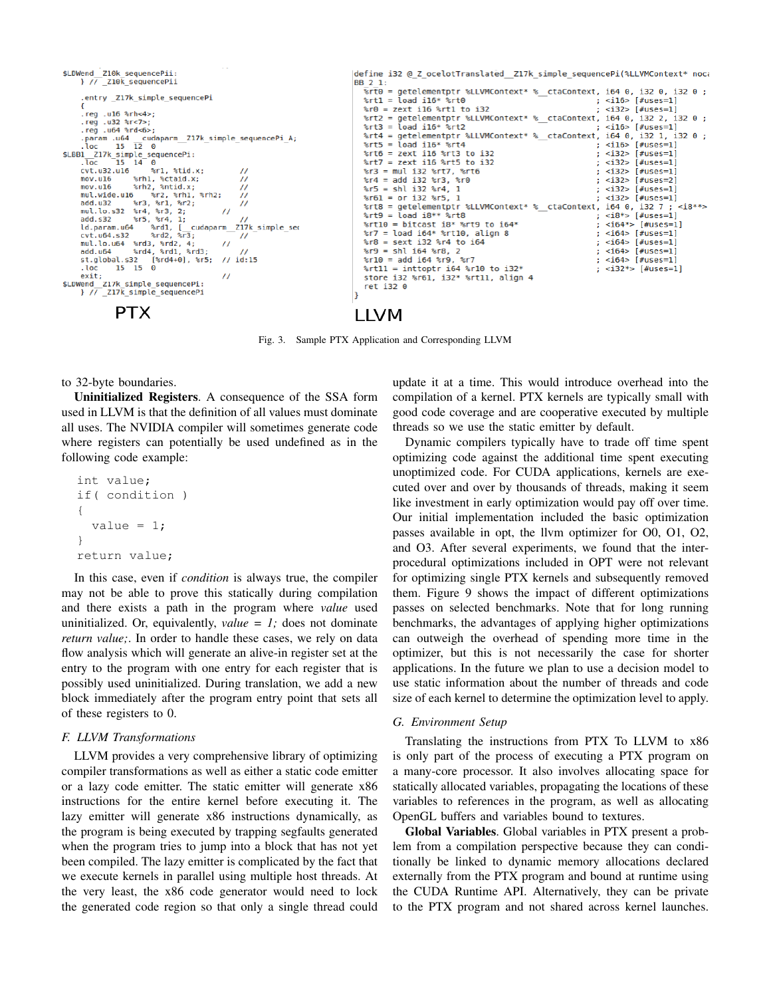

Fig. 3. Sample PTX Application and Corresponding LLVM

to 32-byte boundaries.

Uninitialized Registers. A consequence of the SSA form used in LLVM is that the definition of all values must dominate all uses. The NVIDIA compiler will sometimes generate code where registers can potentially be used undefined as in the following code example:

```
int value;
if( condition )
{
  value = 1;}
return value;
```
In this case, even if *condition* is always true, the compiler may not be able to prove this statically during compilation and there exists a path in the program where *value* used uninitialized. Or, equivalently, *value = 1;* does not dominate *return value;*. In order to handle these cases, we rely on data flow analysis which will generate an alive-in register set at the entry to the program with one entry for each register that is possibly used uninitialized. During translation, we add a new block immediately after the program entry point that sets all of these registers to 0.

## *F. LLVM Transformations*

LLVM provides a very comprehensive library of optimizing compiler transformations as well as either a static code emitter or a lazy code emitter. The static emitter will generate x86 instructions for the entire kernel before executing it. The lazy emitter will generate x86 instructions dynamically, as the program is being executed by trapping segfaults generated when the program tries to jump into a block that has not yet been compiled. The lazy emitter is complicated by the fact that we execute kernels in parallel using multiple host threads. At the very least, the x86 code generator would need to lock the generated code region so that only a single thread could

update it at a time. This would introduce overhead into the compilation of a kernel. PTX kernels are typically small with good code coverage and are cooperative executed by multiple threads so we use the static emitter by default.

Dynamic compilers typically have to trade off time spent optimizing code against the additional time spent executing unoptimized code. For CUDA applications, kernels are executed over and over by thousands of threads, making it seem like investment in early optimization would pay off over time. Our initial implementation included the basic optimization passes available in opt, the llvm optimizer for O0, O1, O2, and O3. After several experiments, we found that the interprocedural optimizations included in OPT were not relevant for optimizing single PTX kernels and subsequently removed them. Figure 9 shows the impact of different optimizations passes on selected benchmarks. Note that for long running benchmarks, the advantages of applying higher optimizations can outweigh the overhead of spending more time in the optimizer, but this is not necessarily the case for shorter applications. In the future we plan to use a decision model to use static information about the number of threads and code size of each kernel to determine the optimization level to apply.

## *G. Environment Setup*

Translating the instructions from PTX To LLVM to x86 is only part of the process of executing a PTX program on a many-core processor. It also involves allocating space for statically allocated variables, propagating the locations of these variables to references in the program, as well as allocating OpenGL buffers and variables bound to textures.

Global Variables. Global variables in PTX present a problem from a compilation perspective because they can conditionally be linked to dynamic memory allocations declared externally from the PTX program and bound at runtime using the CUDA Runtime API. Alternatively, they can be private to the PTX program and not shared across kernel launches.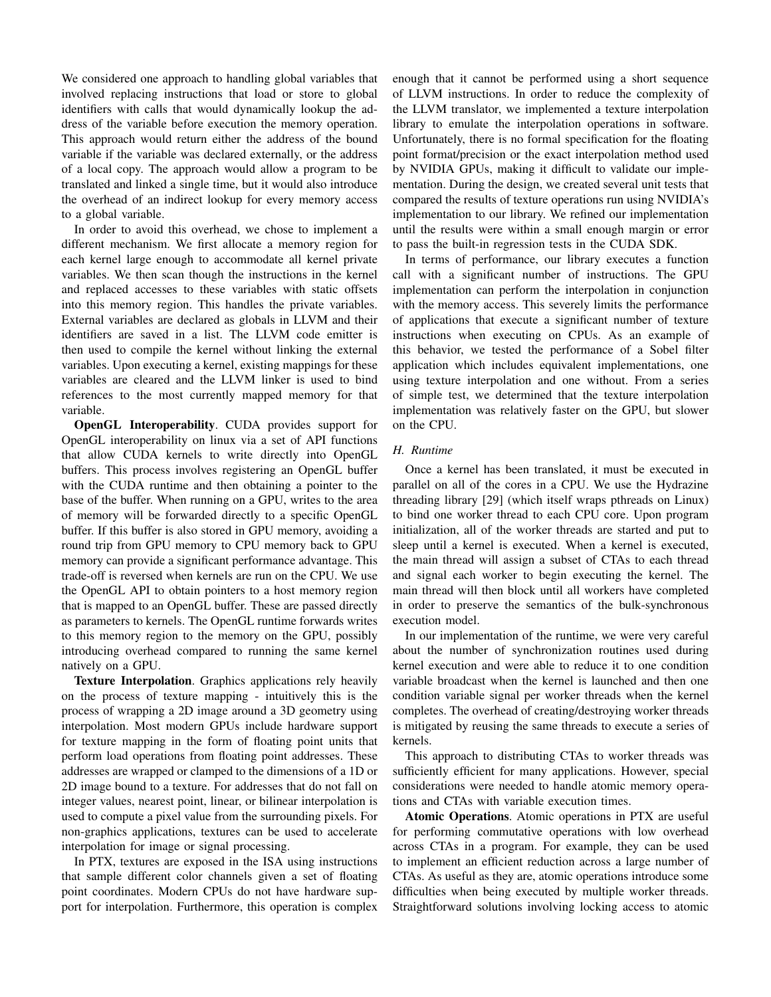We considered one approach to handling global variables that involved replacing instructions that load or store to global identifiers with calls that would dynamically lookup the address of the variable before execution the memory operation. This approach would return either the address of the bound variable if the variable was declared externally, or the address of a local copy. The approach would allow a program to be translated and linked a single time, but it would also introduce the overhead of an indirect lookup for every memory access to a global variable.

In order to avoid this overhead, we chose to implement a different mechanism. We first allocate a memory region for each kernel large enough to accommodate all kernel private variables. We then scan though the instructions in the kernel and replaced accesses to these variables with static offsets into this memory region. This handles the private variables. External variables are declared as globals in LLVM and their identifiers are saved in a list. The LLVM code emitter is then used to compile the kernel without linking the external variables. Upon executing a kernel, existing mappings for these variables are cleared and the LLVM linker is used to bind references to the most currently mapped memory for that variable.

OpenGL Interoperability. CUDA provides support for OpenGL interoperability on linux via a set of API functions that allow CUDA kernels to write directly into OpenGL buffers. This process involves registering an OpenGL buffer with the CUDA runtime and then obtaining a pointer to the base of the buffer. When running on a GPU, writes to the area of memory will be forwarded directly to a specific OpenGL buffer. If this buffer is also stored in GPU memory, avoiding a round trip from GPU memory to CPU memory back to GPU memory can provide a significant performance advantage. This trade-off is reversed when kernels are run on the CPU. We use the OpenGL API to obtain pointers to a host memory region that is mapped to an OpenGL buffer. These are passed directly as parameters to kernels. The OpenGL runtime forwards writes to this memory region to the memory on the GPU, possibly introducing overhead compared to running the same kernel natively on a GPU.

Texture Interpolation. Graphics applications rely heavily on the process of texture mapping - intuitively this is the process of wrapping a 2D image around a 3D geometry using interpolation. Most modern GPUs include hardware support for texture mapping in the form of floating point units that perform load operations from floating point addresses. These addresses are wrapped or clamped to the dimensions of a 1D or 2D image bound to a texture. For addresses that do not fall on integer values, nearest point, linear, or bilinear interpolation is used to compute a pixel value from the surrounding pixels. For non-graphics applications, textures can be used to accelerate interpolation for image or signal processing.

In PTX, textures are exposed in the ISA using instructions that sample different color channels given a set of floating point coordinates. Modern CPUs do not have hardware support for interpolation. Furthermore, this operation is complex enough that it cannot be performed using a short sequence of LLVM instructions. In order to reduce the complexity of the LLVM translator, we implemented a texture interpolation library to emulate the interpolation operations in software. Unfortunately, there is no formal specification for the floating point format/precision or the exact interpolation method used by NVIDIA GPUs, making it difficult to validate our implementation. During the design, we created several unit tests that compared the results of texture operations run using NVIDIA's implementation to our library. We refined our implementation until the results were within a small enough margin or error to pass the built-in regression tests in the CUDA SDK.

In terms of performance, our library executes a function call with a significant number of instructions. The GPU implementation can perform the interpolation in conjunction with the memory access. This severely limits the performance of applications that execute a significant number of texture instructions when executing on CPUs. As an example of this behavior, we tested the performance of a Sobel filter application which includes equivalent implementations, one using texture interpolation and one without. From a series of simple test, we determined that the texture interpolation implementation was relatively faster on the GPU, but slower on the CPU.

# *H. Runtime*

Once a kernel has been translated, it must be executed in parallel on all of the cores in a CPU. We use the Hydrazine threading library [29] (which itself wraps pthreads on Linux) to bind one worker thread to each CPU core. Upon program initialization, all of the worker threads are started and put to sleep until a kernel is executed. When a kernel is executed, the main thread will assign a subset of CTAs to each thread and signal each worker to begin executing the kernel. The main thread will then block until all workers have completed in order to preserve the semantics of the bulk-synchronous execution model.

In our implementation of the runtime, we were very careful about the number of synchronization routines used during kernel execution and were able to reduce it to one condition variable broadcast when the kernel is launched and then one condition variable signal per worker threads when the kernel completes. The overhead of creating/destroying worker threads is mitigated by reusing the same threads to execute a series of kernels.

This approach to distributing CTAs to worker threads was sufficiently efficient for many applications. However, special considerations were needed to handle atomic memory operations and CTAs with variable execution times.

Atomic Operations. Atomic operations in PTX are useful for performing commutative operations with low overhead across CTAs in a program. For example, they can be used to implement an efficient reduction across a large number of CTAs. As useful as they are, atomic operations introduce some difficulties when being executed by multiple worker threads. Straightforward solutions involving locking access to atomic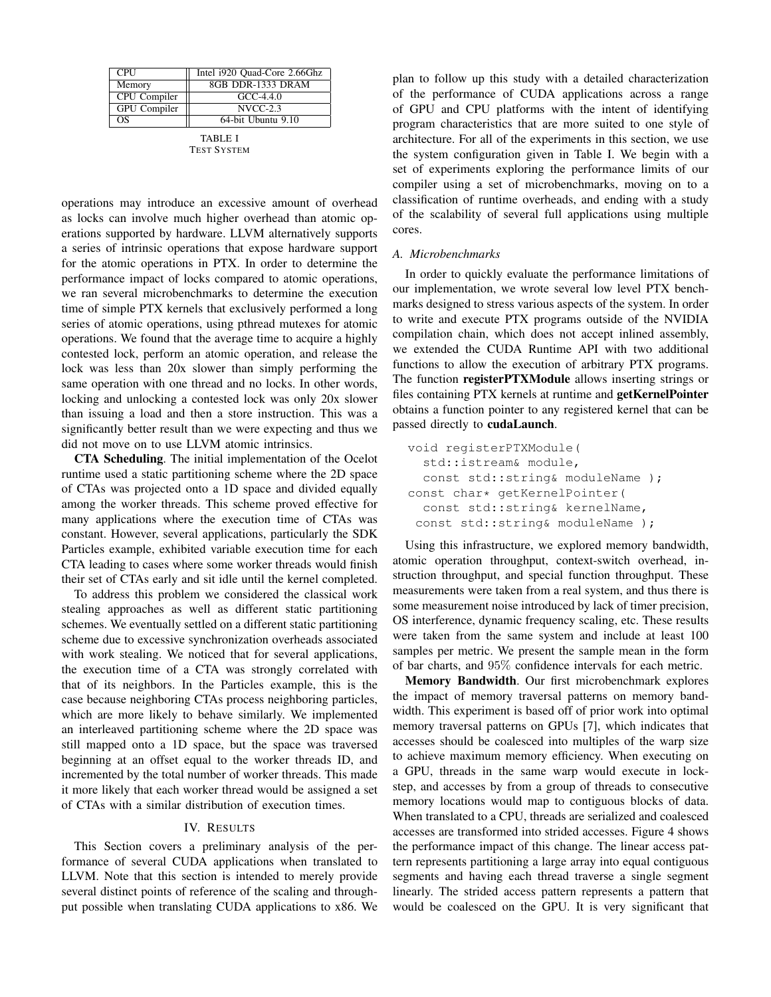| <b>CPU</b>   | Intel i920 Quad-Core 2.66Ghz |
|--------------|------------------------------|
| Memory       | 8GB DDR-1333 DRAM            |
| CPU Compiler | $GCC-4.4.0$                  |
| GPU Compiler | $NVCC-2.3$                   |
| ΩS           | 64-bit Ubuntu 9.10           |
|              |                              |

TABLE I TEST SYSTEM

operations may introduce an excessive amount of overhead as locks can involve much higher overhead than atomic operations supported by hardware. LLVM alternatively supports a series of intrinsic operations that expose hardware support for the atomic operations in PTX. In order to determine the performance impact of locks compared to atomic operations, we ran several microbenchmarks to determine the execution time of simple PTX kernels that exclusively performed a long series of atomic operations, using pthread mutexes for atomic operations. We found that the average time to acquire a highly contested lock, perform an atomic operation, and release the lock was less than 20x slower than simply performing the same operation with one thread and no locks. In other words, locking and unlocking a contested lock was only 20x slower than issuing a load and then a store instruction. This was a significantly better result than we were expecting and thus we did not move on to use LLVM atomic intrinsics.

CTA Scheduling. The initial implementation of the Ocelot runtime used a static partitioning scheme where the 2D space of CTAs was projected onto a 1D space and divided equally among the worker threads. This scheme proved effective for many applications where the execution time of CTAs was constant. However, several applications, particularly the SDK Particles example, exhibited variable execution time for each CTA leading to cases where some worker threads would finish their set of CTAs early and sit idle until the kernel completed.

To address this problem we considered the classical work stealing approaches as well as different static partitioning schemes. We eventually settled on a different static partitioning scheme due to excessive synchronization overheads associated with work stealing. We noticed that for several applications, the execution time of a CTA was strongly correlated with that of its neighbors. In the Particles example, this is the case because neighboring CTAs process neighboring particles, which are more likely to behave similarly. We implemented an interleaved partitioning scheme where the 2D space was still mapped onto a 1D space, but the space was traversed beginning at an offset equal to the worker threads ID, and incremented by the total number of worker threads. This made it more likely that each worker thread would be assigned a set of CTAs with a similar distribution of execution times.

# IV. RESULTS

This Section covers a preliminary analysis of the performance of several CUDA applications when translated to LLVM. Note that this section is intended to merely provide several distinct points of reference of the scaling and throughput possible when translating CUDA applications to x86. We plan to follow up this study with a detailed characterization of the performance of CUDA applications across a range of GPU and CPU platforms with the intent of identifying program characteristics that are more suited to one style of architecture. For all of the experiments in this section, we use the system configuration given in Table I. We begin with a set of experiments exploring the performance limits of our compiler using a set of microbenchmarks, moving on to a classification of runtime overheads, and ending with a study of the scalability of several full applications using multiple cores.

#### *A. Microbenchmarks*

In order to quickly evaluate the performance limitations of our implementation, we wrote several low level PTX benchmarks designed to stress various aspects of the system. In order to write and execute PTX programs outside of the NVIDIA compilation chain, which does not accept inlined assembly, we extended the CUDA Runtime API with two additional functions to allow the execution of arbitrary PTX programs. The function registerPTXModule allows inserting strings or files containing PTX kernels at runtime and **getKernelPointer** obtains a function pointer to any registered kernel that can be passed directly to cudaLaunch.

```
void registerPTXModule(
  std::istream& module,
 const std::string& moduleName );
const char* getKernelPointer(
  const std::string& kernelName,
const std::string& moduleName );
```
Using this infrastructure, we explored memory bandwidth, atomic operation throughput, context-switch overhead, instruction throughput, and special function throughput. These measurements were taken from a real system, and thus there is some measurement noise introduced by lack of timer precision, OS interference, dynamic frequency scaling, etc. These results were taken from the same system and include at least 100 samples per metric. We present the sample mean in the form of bar charts, and 95% confidence intervals for each metric.

Memory Bandwidth. Our first microbenchmark explores the impact of memory traversal patterns on memory bandwidth. This experiment is based off of prior work into optimal memory traversal patterns on GPUs [7], which indicates that accesses should be coalesced into multiples of the warp size to achieve maximum memory efficiency. When executing on a GPU, threads in the same warp would execute in lockstep, and accesses by from a group of threads to consecutive memory locations would map to contiguous blocks of data. When translated to a CPU, threads are serialized and coalesced accesses are transformed into strided accesses. Figure 4 shows the performance impact of this change. The linear access pattern represents partitioning a large array into equal contiguous segments and having each thread traverse a single segment linearly. The strided access pattern represents a pattern that would be coalesced on the GPU. It is very significant that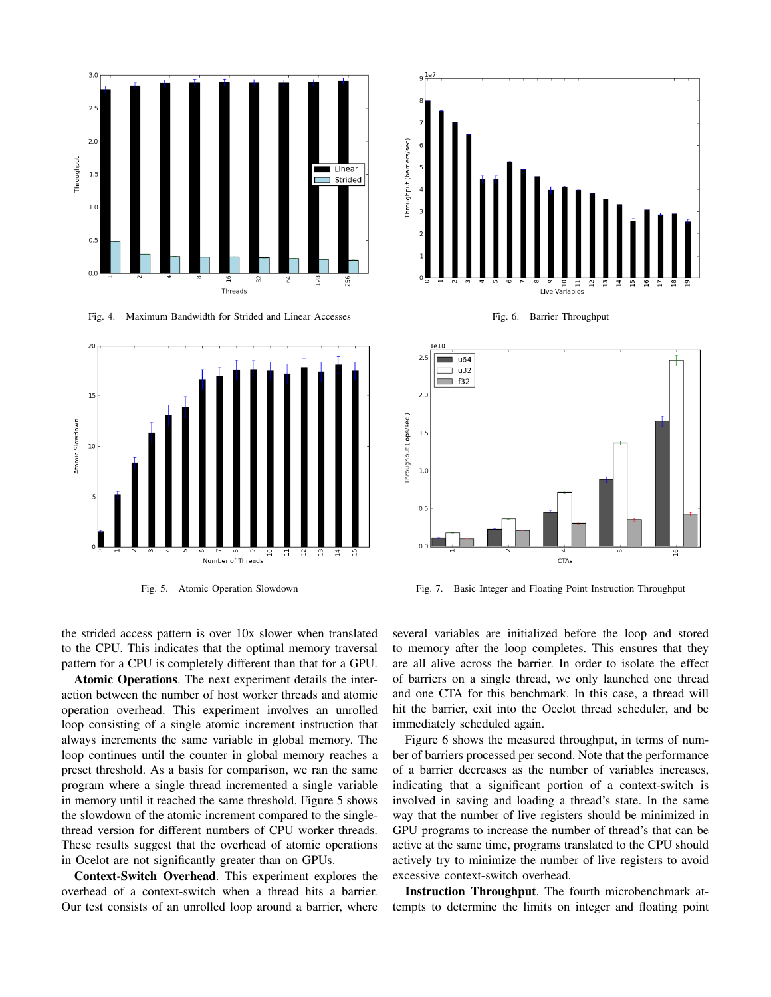

Fig. 4. Maximum Bandwidth for Strided and Linear Accesses



Fig. 5. Atomic Operation Slowdown

the strided access pattern is over 10x slower when translated to the CPU. This indicates that the optimal memory traversal pattern for a CPU is completely different than that for a GPU.

Atomic Operations. The next experiment details the interaction between the number of host worker threads and atomic operation overhead. This experiment involves an unrolled loop consisting of a single atomic increment instruction that always increments the same variable in global memory. The loop continues until the counter in global memory reaches a preset threshold. As a basis for comparison, we ran the same program where a single thread incremented a single variable in memory until it reached the same threshold. Figure 5 shows the slowdown of the atomic increment compared to the singlethread version for different numbers of CPU worker threads. These results suggest that the overhead of atomic operations in Ocelot are not significantly greater than on GPUs.

Context-Switch Overhead. This experiment explores the overhead of a context-switch when a thread hits a barrier. Our test consists of an unrolled loop around a barrier, where



Fig. 6. Barrier Throughput



Fig. 7. Basic Integer and Floating Point Instruction Throughput

several variables are initialized before the loop and stored to memory after the loop completes. This ensures that they are all alive across the barrier. In order to isolate the effect of barriers on a single thread, we only launched one thread and one CTA for this benchmark. In this case, a thread will hit the barrier, exit into the Ocelot thread scheduler, and be immediately scheduled again.

Figure 6 shows the measured throughput, in terms of number of barriers processed per second. Note that the performance of a barrier decreases as the number of variables increases, indicating that a significant portion of a context-switch is involved in saving and loading a thread's state. In the same way that the number of live registers should be minimized in GPU programs to increase the number of thread's that can be active at the same time, programs translated to the CPU should actively try to minimize the number of live registers to avoid excessive context-switch overhead.

Instruction Throughput. The fourth microbenchmark attempts to determine the limits on integer and floating point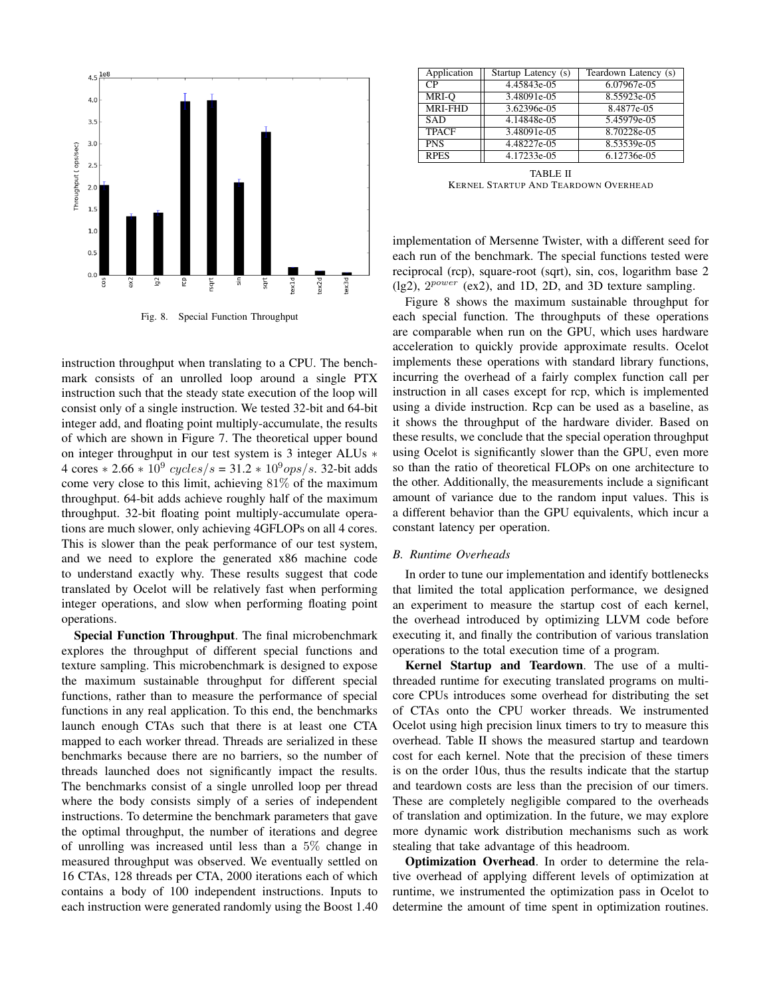

Fig. 8. Special Function Throughput

instruction throughput when translating to a CPU. The benchmark consists of an unrolled loop around a single PTX instruction such that the steady state execution of the loop will consist only of a single instruction. We tested 32-bit and 64-bit integer add, and floating point multiply-accumulate, the results of which are shown in Figure 7. The theoretical upper bound on integer throughput in our test system is 3 integer ALUs ∗ 4 cores  $* 2.66 * 10^9$  cycles/s = 31.2  $* 10^9$ ops/s. 32-bit adds come very close to this limit, achieving 81% of the maximum throughput. 64-bit adds achieve roughly half of the maximum throughput. 32-bit floating point multiply-accumulate operations are much slower, only achieving 4GFLOPs on all 4 cores. This is slower than the peak performance of our test system, and we need to explore the generated x86 machine code to understand exactly why. These results suggest that code translated by Ocelot will be relatively fast when performing integer operations, and slow when performing floating point operations.

Special Function Throughput. The final microbenchmark explores the throughput of different special functions and texture sampling. This microbenchmark is designed to expose the maximum sustainable throughput for different special functions, rather than to measure the performance of special functions in any real application. To this end, the benchmarks launch enough CTAs such that there is at least one CTA mapped to each worker thread. Threads are serialized in these benchmarks because there are no barriers, so the number of threads launched does not significantly impact the results. The benchmarks consist of a single unrolled loop per thread where the body consists simply of a series of independent instructions. To determine the benchmark parameters that gave the optimal throughput, the number of iterations and degree of unrolling was increased until less than a 5% change in measured throughput was observed. We eventually settled on 16 CTAs, 128 threads per CTA, 2000 iterations each of which contains a body of 100 independent instructions. Inputs to each instruction were generated randomly using the Boost 1.40

| Application    | Startup Latency (s) | Teardown Latency (s) |
|----------------|---------------------|----------------------|
| CР             | 4.45843e-05         | 6.07967e-05          |
| MRI-O          | 3.48091e-05         | 8.55923e-05          |
| <b>MRI-FHD</b> | 3.62396e-05         | 8.4877e-05           |
| <b>SAD</b>     | 4.14848e-05         | 5.45979e-05          |
| <b>TPACF</b>   | 3.48091e-05         | 8.70228e-05          |
| <b>PNS</b>     | 4.48227e-05         | 8.53539e-05          |
| <b>RPES</b>    | 4.17233e-05         | 6.12736e-05          |

TABLE II KERNEL STARTUP AND TEARDOWN OVERHEAD

implementation of Mersenne Twister, with a different seed for each run of the benchmark. The special functions tested were reciprocal (rcp), square-root (sqrt), sin, cos, logarithm base 2 (lg2),  $2^{power}$  (ex2), and 1D, 2D, and 3D texture sampling.

Figure 8 shows the maximum sustainable throughput for each special function. The throughputs of these operations are comparable when run on the GPU, which uses hardware acceleration to quickly provide approximate results. Ocelot implements these operations with standard library functions, incurring the overhead of a fairly complex function call per instruction in all cases except for rcp, which is implemented using a divide instruction. Rcp can be used as a baseline, as it shows the throughput of the hardware divider. Based on these results, we conclude that the special operation throughput using Ocelot is significantly slower than the GPU, even more so than the ratio of theoretical FLOPs on one architecture to the other. Additionally, the measurements include a significant amount of variance due to the random input values. This is a different behavior than the GPU equivalents, which incur a constant latency per operation.

# *B. Runtime Overheads*

In order to tune our implementation and identify bottlenecks that limited the total application performance, we designed an experiment to measure the startup cost of each kernel, the overhead introduced by optimizing LLVM code before executing it, and finally the contribution of various translation operations to the total execution time of a program.

Kernel Startup and Teardown. The use of a multithreaded runtime for executing translated programs on multicore CPUs introduces some overhead for distributing the set of CTAs onto the CPU worker threads. We instrumented Ocelot using high precision linux timers to try to measure this overhead. Table II shows the measured startup and teardown cost for each kernel. Note that the precision of these timers is on the order 10us, thus the results indicate that the startup and teardown costs are less than the precision of our timers. These are completely negligible compared to the overheads of translation and optimization. In the future, we may explore more dynamic work distribution mechanisms such as work stealing that take advantage of this headroom.

Optimization Overhead. In order to determine the relative overhead of applying different levels of optimization at runtime, we instrumented the optimization pass in Ocelot to determine the amount of time spent in optimization routines.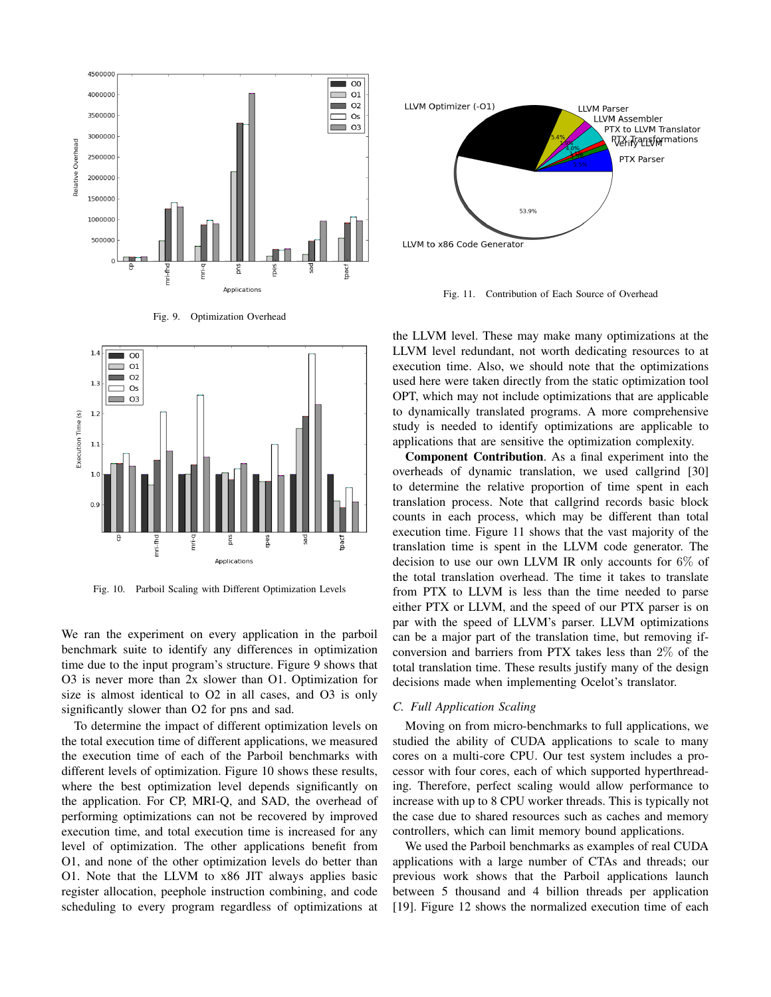





Fig. 10. Parboil Scaling with Different Optimization Levels

We ran the experiment on every application in the parboil benchmark suite to identify any differences in optimization time due to the input program's structure. Figure 9 shows that O3 is never more than 2x slower than O1. Optimization for size is almost identical to O2 in all cases, and O3 is only significantly slower than O2 for pns and sad.

To determine the impact of different optimization levels on the total execution time of different applications, we measured the execution time of each of the Parboil benchmarks with different levels of optimization. Figure 10 shows these results, where the best optimization level depends significantly on the application. For CP, MRI-Q, and SAD, the overhead of performing optimizations can not be recovered by improved execution time, and total execution time is increased for any level of optimization. The other applications benefit from O1, and none of the other optimization levels do better than O1. Note that the LLVM to x86 JIT always applies basic register allocation, peephole instruction combining, and code scheduling to every program regardless of optimizations at



Fig. 11. Contribution of Each Source of Overhead

the LLVM level. These may make many optimizations at the LLVM level redundant, not worth dedicating resources to at execution time. Also, we should note that the optimizations used here were taken directly from the static optimization tool OPT, which may not include optimizations that are applicable to dynamically translated programs. A more comprehensive study is needed to identify optimizations are applicable to applications that are sensitive the optimization complexity.

Component Contribution. As a final experiment into the overheads of dynamic translation, we used callgrind [30] to determine the relative proportion of time spent in each translation process. Note that callgrind records basic block counts in each process, which may be different than total execution time. Figure 11 shows that the vast majority of the translation time is spent in the LLVM code generator. The decision to use our own LLVM IR only accounts for 6% of the total translation overhead. The time it takes to translate from PTX to LLVM is less than the time needed to parse either PTX or LLVM, and the speed of our PTX parser is on par with the speed of LLVM's parser. LLVM optimizations can be a major part of the translation time, but removing ifconversion and barriers from PTX takes less than 2% of the total translation time. These results justify many of the design decisions made when implementing Ocelot's translator.

## *C. Full Application Scaling*

Moving on from micro-benchmarks to full applications, we studied the ability of CUDA applications to scale to many cores on a multi-core CPU. Our test system includes a processor with four cores, each of which supported hyperthreading. Therefore, perfect scaling would allow performance to increase with up to 8 CPU worker threads. This is typically not the case due to shared resources such as caches and memory controllers, which can limit memory bound applications.

We used the Parboil benchmarks as examples of real CUDA applications with a large number of CTAs and threads; our previous work shows that the Parboil applications launch between 5 thousand and 4 billion threads per application [19]. Figure 12 shows the normalized execution time of each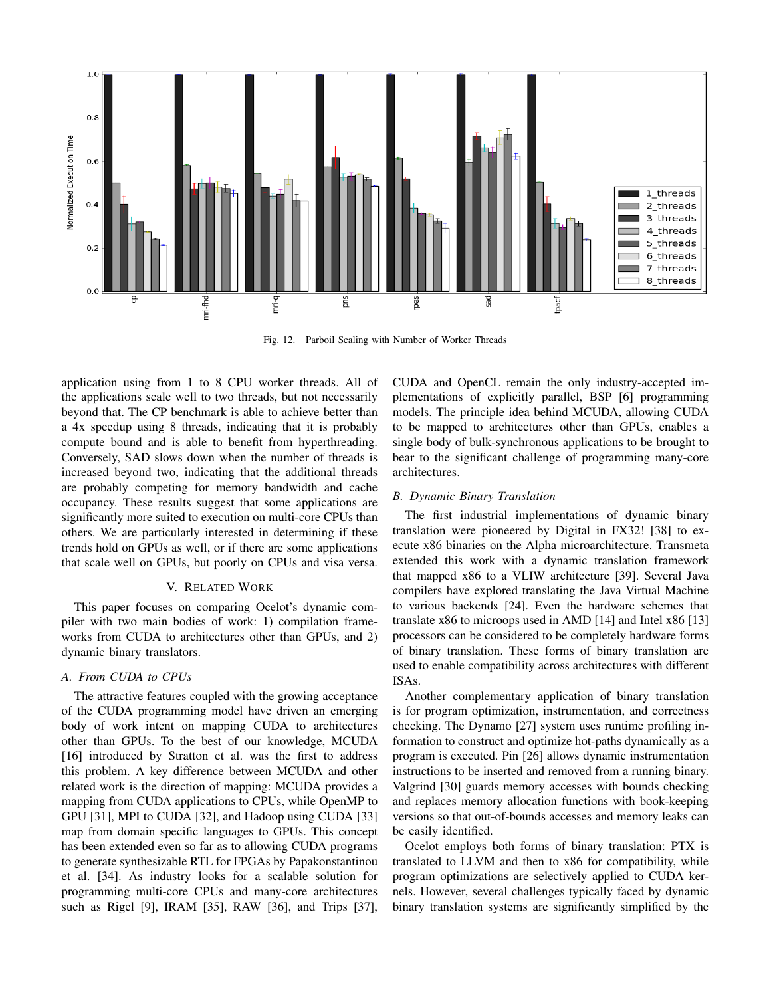

Fig. 12. Parboil Scaling with Number of Worker Threads

application using from 1 to 8 CPU worker threads. All of the applications scale well to two threads, but not necessarily beyond that. The CP benchmark is able to achieve better than a 4x speedup using 8 threads, indicating that it is probably compute bound and is able to benefit from hyperthreading. Conversely, SAD slows down when the number of threads is increased beyond two, indicating that the additional threads are probably competing for memory bandwidth and cache occupancy. These results suggest that some applications are significantly more suited to execution on multi-core CPUs than others. We are particularly interested in determining if these trends hold on GPUs as well, or if there are some applications that scale well on GPUs, but poorly on CPUs and visa versa.

# V. RELATED WORK

This paper focuses on comparing Ocelot's dynamic compiler with two main bodies of work: 1) compilation frameworks from CUDA to architectures other than GPUs, and 2) dynamic binary translators.

# *A. From CUDA to CPUs*

The attractive features coupled with the growing acceptance of the CUDA programming model have driven an emerging body of work intent on mapping CUDA to architectures other than GPUs. To the best of our knowledge, MCUDA [16] introduced by Stratton et al. was the first to address this problem. A key difference between MCUDA and other related work is the direction of mapping: MCUDA provides a mapping from CUDA applications to CPUs, while OpenMP to GPU [31], MPI to CUDA [32], and Hadoop using CUDA [33] map from domain specific languages to GPUs. This concept has been extended even so far as to allowing CUDA programs to generate synthesizable RTL for FPGAs by Papakonstantinou et al. [34]. As industry looks for a scalable solution for programming multi-core CPUs and many-core architectures such as Rigel [9], IRAM [35], RAW [36], and Trips [37], CUDA and OpenCL remain the only industry-accepted implementations of explicitly parallel, BSP [6] programming models. The principle idea behind MCUDA, allowing CUDA to be mapped to architectures other than GPUs, enables a single body of bulk-synchronous applications to be brought to bear to the significant challenge of programming many-core architectures.

## *B. Dynamic Binary Translation*

The first industrial implementations of dynamic binary translation were pioneered by Digital in FX32! [38] to execute x86 binaries on the Alpha microarchitecture. Transmeta extended this work with a dynamic translation framework that mapped x86 to a VLIW architecture [39]. Several Java compilers have explored translating the Java Virtual Machine to various backends [24]. Even the hardware schemes that translate x86 to microops used in AMD [14] and Intel x86 [13] processors can be considered to be completely hardware forms of binary translation. These forms of binary translation are used to enable compatibility across architectures with different ISAs.

Another complementary application of binary translation is for program optimization, instrumentation, and correctness checking. The Dynamo [27] system uses runtime profiling information to construct and optimize hot-paths dynamically as a program is executed. Pin [26] allows dynamic instrumentation instructions to be inserted and removed from a running binary. Valgrind [30] guards memory accesses with bounds checking and replaces memory allocation functions with book-keeping versions so that out-of-bounds accesses and memory leaks can be easily identified.

Ocelot employs both forms of binary translation: PTX is translated to LLVM and then to x86 for compatibility, while program optimizations are selectively applied to CUDA kernels. However, several challenges typically faced by dynamic binary translation systems are significantly simplified by the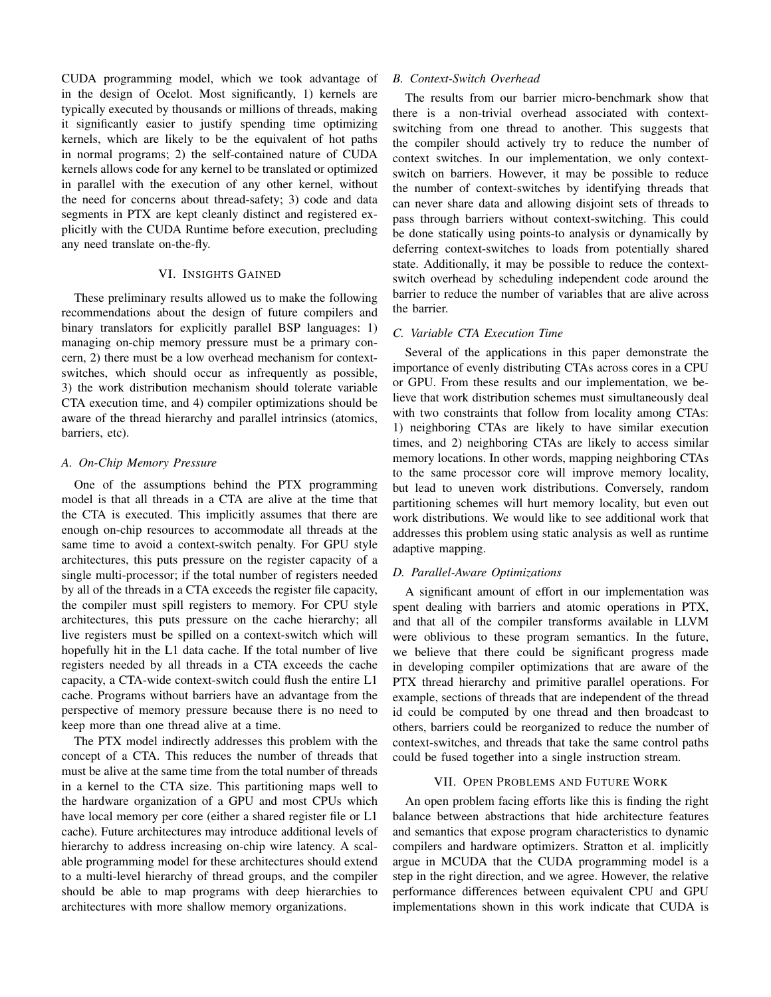CUDA programming model, which we took advantage of in the design of Ocelot. Most significantly, 1) kernels are typically executed by thousands or millions of threads, making it significantly easier to justify spending time optimizing kernels, which are likely to be the equivalent of hot paths in normal programs; 2) the self-contained nature of CUDA kernels allows code for any kernel to be translated or optimized in parallel with the execution of any other kernel, without the need for concerns about thread-safety; 3) code and data segments in PTX are kept cleanly distinct and registered explicitly with the CUDA Runtime before execution, precluding any need translate on-the-fly.

## VI. INSIGHTS GAINED

These preliminary results allowed us to make the following recommendations about the design of future compilers and binary translators for explicitly parallel BSP languages: 1) managing on-chip memory pressure must be a primary concern, 2) there must be a low overhead mechanism for contextswitches, which should occur as infrequently as possible, 3) the work distribution mechanism should tolerate variable CTA execution time, and 4) compiler optimizations should be aware of the thread hierarchy and parallel intrinsics (atomics, barriers, etc).

# *A. On-Chip Memory Pressure*

One of the assumptions behind the PTX programming model is that all threads in a CTA are alive at the time that the CTA is executed. This implicitly assumes that there are enough on-chip resources to accommodate all threads at the same time to avoid a context-switch penalty. For GPU style architectures, this puts pressure on the register capacity of a single multi-processor; if the total number of registers needed by all of the threads in a CTA exceeds the register file capacity, the compiler must spill registers to memory. For CPU style architectures, this puts pressure on the cache hierarchy; all live registers must be spilled on a context-switch which will hopefully hit in the L1 data cache. If the total number of live registers needed by all threads in a CTA exceeds the cache capacity, a CTA-wide context-switch could flush the entire L1 cache. Programs without barriers have an advantage from the perspective of memory pressure because there is no need to keep more than one thread alive at a time.

The PTX model indirectly addresses this problem with the concept of a CTA. This reduces the number of threads that must be alive at the same time from the total number of threads in a kernel to the CTA size. This partitioning maps well to the hardware organization of a GPU and most CPUs which have local memory per core (either a shared register file or L1 cache). Future architectures may introduce additional levels of hierarchy to address increasing on-chip wire latency. A scalable programming model for these architectures should extend to a multi-level hierarchy of thread groups, and the compiler should be able to map programs with deep hierarchies to architectures with more shallow memory organizations.

## *B. Context-Switch Overhead*

The results from our barrier micro-benchmark show that there is a non-trivial overhead associated with contextswitching from one thread to another. This suggests that the compiler should actively try to reduce the number of context switches. In our implementation, we only contextswitch on barriers. However, it may be possible to reduce the number of context-switches by identifying threads that can never share data and allowing disjoint sets of threads to pass through barriers without context-switching. This could be done statically using points-to analysis or dynamically by deferring context-switches to loads from potentially shared state. Additionally, it may be possible to reduce the contextswitch overhead by scheduling independent code around the barrier to reduce the number of variables that are alive across the barrier.

# *C. Variable CTA Execution Time*

Several of the applications in this paper demonstrate the importance of evenly distributing CTAs across cores in a CPU or GPU. From these results and our implementation, we believe that work distribution schemes must simultaneously deal with two constraints that follow from locality among CTAs: 1) neighboring CTAs are likely to have similar execution times, and 2) neighboring CTAs are likely to access similar memory locations. In other words, mapping neighboring CTAs to the same processor core will improve memory locality, but lead to uneven work distributions. Conversely, random partitioning schemes will hurt memory locality, but even out work distributions. We would like to see additional work that addresses this problem using static analysis as well as runtime adaptive mapping.

# *D. Parallel-Aware Optimizations*

A significant amount of effort in our implementation was spent dealing with barriers and atomic operations in PTX, and that all of the compiler transforms available in LLVM were oblivious to these program semantics. In the future, we believe that there could be significant progress made in developing compiler optimizations that are aware of the PTX thread hierarchy and primitive parallel operations. For example, sections of threads that are independent of the thread id could be computed by one thread and then broadcast to others, barriers could be reorganized to reduce the number of context-switches, and threads that take the same control paths could be fused together into a single instruction stream.

## VII. OPEN PROBLEMS AND FUTURE WORK

An open problem facing efforts like this is finding the right balance between abstractions that hide architecture features and semantics that expose program characteristics to dynamic compilers and hardware optimizers. Stratton et al. implicitly argue in MCUDA that the CUDA programming model is a step in the right direction, and we agree. However, the relative performance differences between equivalent CPU and GPU implementations shown in this work indicate that CUDA is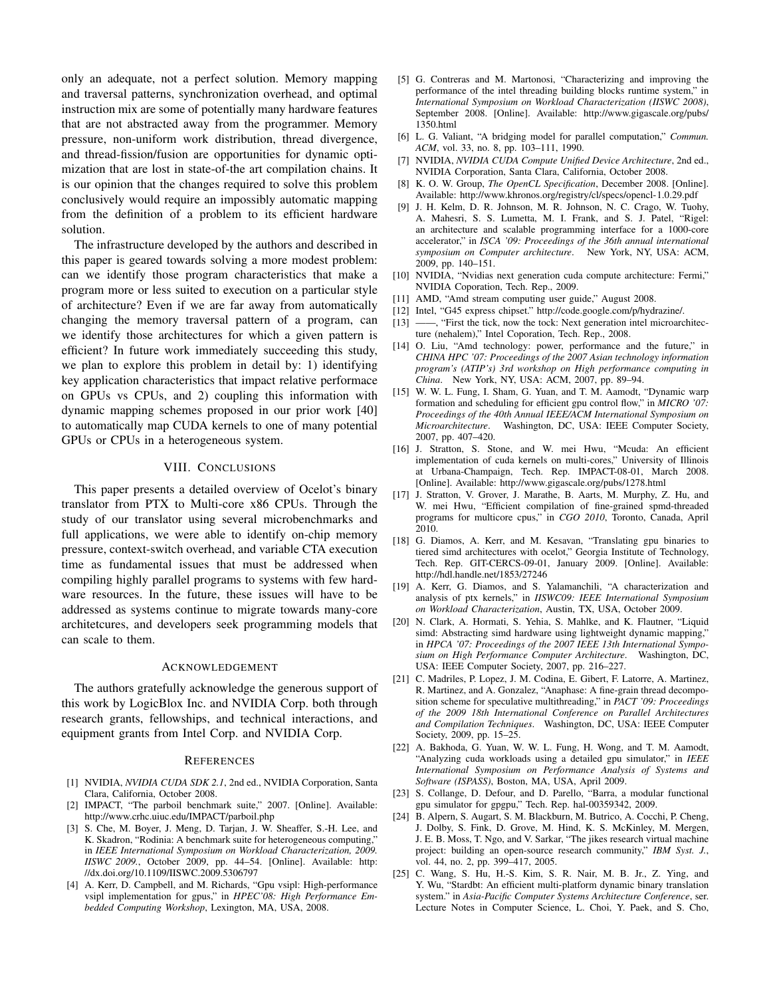only an adequate, not a perfect solution. Memory mapping and traversal patterns, synchronization overhead, and optimal instruction mix are some of potentially many hardware features that are not abstracted away from the programmer. Memory pressure, non-uniform work distribution, thread divergence, and thread-fission/fusion are opportunities for dynamic optimization that are lost in state-of-the art compilation chains. It is our opinion that the changes required to solve this problem conclusively would require an impossibly automatic mapping from the definition of a problem to its efficient hardware solution.

The infrastructure developed by the authors and described in this paper is geared towards solving a more modest problem: can we identify those program characteristics that make a program more or less suited to execution on a particular style of architecture? Even if we are far away from automatically changing the memory traversal pattern of a program, can we identify those architectures for which a given pattern is efficient? In future work immediately succeeding this study, we plan to explore this problem in detail by: 1) identifying key application characteristics that impact relative performace on GPUs vs CPUs, and 2) coupling this information with dynamic mapping schemes proposed in our prior work [40] to automatically map CUDA kernels to one of many potential GPUs or CPUs in a heterogeneous system.

#### VIII. CONCLUSIONS

This paper presents a detailed overview of Ocelot's binary translator from PTX to Multi-core x86 CPUs. Through the study of our translator using several microbenchmarks and full applications, we were able to identify on-chip memory pressure, context-switch overhead, and variable CTA execution time as fundamental issues that must be addressed when compiling highly parallel programs to systems with few hardware resources. In the future, these issues will have to be addressed as systems continue to migrate towards many-core architetcures, and developers seek programming models that can scale to them.

#### ACKNOWLEDGEMENT

The authors gratefully acknowledge the generous support of this work by LogicBlox Inc. and NVIDIA Corp. both through research grants, fellowships, and technical interactions, and equipment grants from Intel Corp. and NVIDIA Corp.

#### **REFERENCES**

- [1] NVIDIA, *NVIDIA CUDA SDK 2.1*, 2nd ed., NVIDIA Corporation, Santa Clara, California, October 2008.
- [2] IMPACT, "The parboil benchmark suite," 2007. [Online]. Available: http://www.crhc.uiuc.edu/IMPACT/parboil.php
- [3] S. Che, M. Boyer, J. Meng, D. Tarjan, J. W. Sheaffer, S.-H. Lee, and K. Skadron, "Rodinia: A benchmark suite for heterogeneous computing," in *IEEE International Symposium on Workload Characterization, 2009. IISWC 2009.*, October 2009, pp. 44–54. [Online]. Available: http: //dx.doi.org/10.1109/IISWC.2009.5306797
- [4] A. Kerr, D. Campbell, and M. Richards, "Gpu vsipl: High-performance vsipl implementation for gpus," in *HPEC'08: High Performance Embedded Computing Workshop*, Lexington, MA, USA, 2008.
- [5] G. Contreras and M. Martonosi, "Characterizing and improving the performance of the intel threading building blocks runtime system," in *International Symposium on Workload Characterization (IISWC 2008)*, September 2008. [Online]. Available: http://www.gigascale.org/pubs/ 1350.html
- [6] L. G. Valiant, "A bridging model for parallel computation," *Commun. ACM*, vol. 33, no. 8, pp. 103–111, 1990.
- [7] NVIDIA, *NVIDIA CUDA Compute Unified Device Architecture*, 2nd ed., NVIDIA Corporation, Santa Clara, California, October 2008.
- [8] K. O. W. Group, *The OpenCL Specification*, December 2008. [Online]. Available: http://www.khronos.org/registry/cl/specs/opencl-1.0.29.pdf
- [9] J. H. Kelm, D. R. Johnson, M. R. Johnson, N. C. Crago, W. Tuohy, A. Mahesri, S. S. Lumetta, M. I. Frank, and S. J. Patel, "Rigel: an architecture and scalable programming interface for a 1000-core accelerator," in *ISCA '09: Proceedings of the 36th annual international symposium on Computer architecture*. New York, NY, USA: ACM, 2009, pp. 140–151.
- [10] NVIDIA, "Nvidias next generation cuda compute architecture: Fermi," NVIDIA Coporation, Tech. Rep., 2009.
- [11] AMD, "Amd stream computing user guide," August 2008.
- [12] Intel, "G45 express chipset." http://code.google.com/p/hydrazine/.
- [13] ——, "First the tick, now the tock: Next generation intel microarchitecture (nehalem)," Intel Coporation, Tech. Rep., 2008.
- [14] O. Liu, "Amd technology: power, performance and the future," in *CHINA HPC '07: Proceedings of the 2007 Asian technology information program's (ATIP's) 3rd workshop on High performance computing in China*. New York, NY, USA: ACM, 2007, pp. 89–94.
- [15] W. W. L. Fung, I. Sham, G. Yuan, and T. M. Aamodt, "Dynamic warp formation and scheduling for efficient gpu control flow," in *MICRO '07: Proceedings of the 40th Annual IEEE/ACM International Symposium on Microarchitecture*. Washington, DC, USA: IEEE Computer Society, 2007, pp. 407–420.
- [16] J. Stratton, S. Stone, and W. mei Hwu, "Mcuda: An efficient implementation of cuda kernels on multi-cores," University of Illinois at Urbana-Champaign, Tech. Rep. IMPACT-08-01, March 2008. [Online]. Available: http://www.gigascale.org/pubs/1278.html
- [17] J. Stratton, V. Grover, J. Marathe, B. Aarts, M. Murphy, Z. Hu, and W. mei Hwu, "Efficient compilation of fine-grained spmd-threaded programs for multicore cpus," in *CGO 2010*, Toronto, Canada, April 2010.
- [18] G. Diamos, A. Kerr, and M. Kesavan, "Translating gpu binaries to tiered simd architectures with ocelot," Georgia Institute of Technology, Tech. Rep. GIT-CERCS-09-01, January 2009. [Online]. Available: http://hdl.handle.net/1853/27246
- [19] A. Kerr, G. Diamos, and S. Yalamanchili, "A characterization and analysis of ptx kernels," in *IISWC09: IEEE International Symposium on Workload Characterization*, Austin, TX, USA, October 2009.
- [20] N. Clark, A. Hormati, S. Yehia, S. Mahlke, and K. Flautner, "Liquid simd: Abstracting simd hardware using lightweight dynamic mapping," in *HPCA '07: Proceedings of the 2007 IEEE 13th International Symposium on High Performance Computer Architecture*. Washington, DC, USA: IEEE Computer Society, 2007, pp. 216–227.
- [21] C. Madriles, P. Lopez, J. M. Codina, E. Gibert, F. Latorre, A. Martinez, R. Martinez, and A. Gonzalez, "Anaphase: A fine-grain thread decomposition scheme for speculative multithreading," in *PACT '09: Proceedings of the 2009 18th International Conference on Parallel Architectures and Compilation Techniques*. Washington, DC, USA: IEEE Computer Society, 2009, pp. 15–25.
- [22] A. Bakhoda, G. Yuan, W. W. L. Fung, H. Wong, and T. M. Aamodt, "Analyzing cuda workloads using a detailed gpu simulator," in *IEEE International Symposium on Performance Analysis of Systems and Software (ISPASS)*, Boston, MA, USA, April 2009.
- [23] S. Collange, D. Defour, and D. Parello, "Barra, a modular functional gpu simulator for gpgpu," Tech. Rep. hal-00359342, 2009.
- [24] B. Alpern, S. Augart, S. M. Blackburn, M. Butrico, A. Cocchi, P. Cheng, J. Dolby, S. Fink, D. Grove, M. Hind, K. S. McKinley, M. Mergen, J. E. B. Moss, T. Ngo, and V. Sarkar, "The jikes research virtual machine project: building an open-source research community," *IBM Syst. J.*, vol. 44, no. 2, pp. 399–417, 2005.
- [25] C. Wang, S. Hu, H.-S. Kim, S. R. Nair, M. B. Jr., Z. Ying, and Y. Wu, "Stardbt: An efficient multi-platform dynamic binary translation system." in *Asia-Pacific Computer Systems Architecture Conference*, ser. Lecture Notes in Computer Science, L. Choi, Y. Paek, and S. Cho,